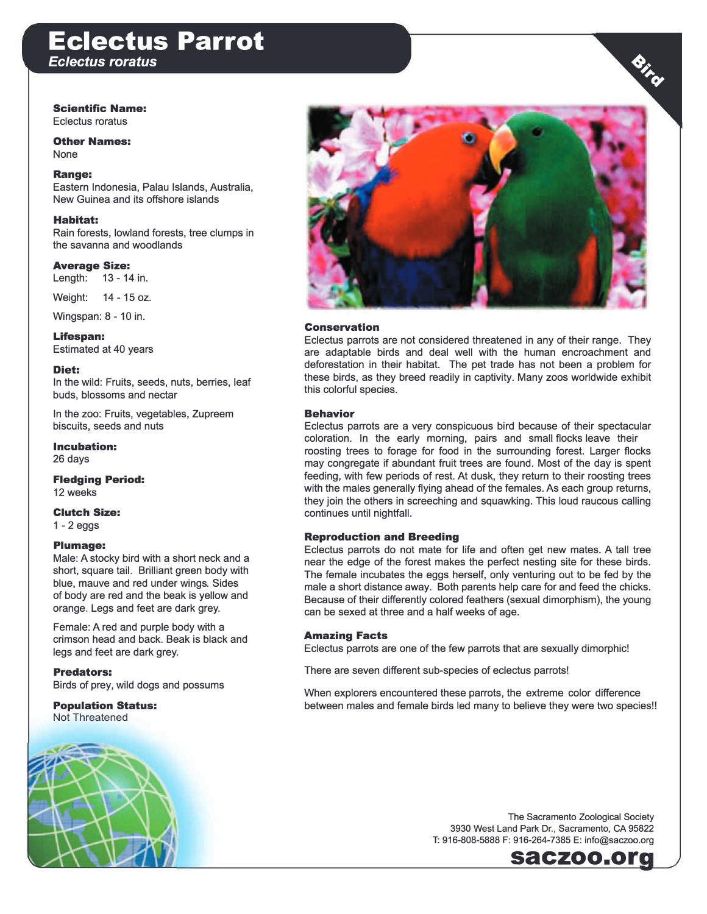## **Eclectus Parrot**  *Eclectus roratus*

### Scientific Name:

Eclectus roratus

Other Names: None

### Range:

Eastern Indonesia, Palau Islands, Australia, New Guinea and its offshore islands

### Habitat:

Rain forests, lowland forests, tree clumps in the savanna and woodlands

Average Size: Length: 13 -14 in.

Weight: 14 -15 oz.

Wingspan: 8 -10 in.

Lifespan: Estimated at 40 years

Diet:

In the wild: Fruits, seeds, nuts, berries, leaf buds, blossoms and nectar

In the zoo: Fruits, vegetables, Zupreem biscuits, seeds and nuts

Incubation: 26 days

Fledging Period: 12 weeks

Clutch Size: 1 -2 eggs

### Plumage:

Male: A stocky bird with a short neck and a short, square tail. Brilliant green body with blue, mauve and red under wings. Sides of body are red and the beak is yellow and orange. Legs and feet are dark grey.

Female: A red and purple body with a crimson head and back. Beak is black and legs and feet are dark grey.

### Predators:

Birds of prey, wild dogs and possums

### Population Status:

Not Threatened





### Conservation

Eclectus parrots are not considered threatened in any of their range. They are adaptable birds and deal well with the human encroachment and deforestation in their habitat. The pet trade has not been a problem for these birds, as they breed readily in captivity. Many zoos worldwide exhibit this colorful species.

### Behavior

Eclectus parrots are a very conspicuous bird because of their spectacular coloration. In the early morning, pairs and small flocks leave their roosting trees to forage for food in the surrounding forest. Larger flocks may congregate if abundant fruit trees are found. Most of the day is spent feeding, with few periods of rest. At dusk, they return to their roosting trees with the males generally flying ahead of the females. As each group returns, they join the others in screeching and squawking. This loud raucous calling continues until nightfall.

### Reproduction and Breeding

Eclectus parrots do not mate for life and often get new mates. A tall tree near the edge of the forest makes the perfect nesting site for these birds. The female incubates the eggs herself, only venturing out to be fed by the male a short distance away. Both parents help care for and feed the chicks. Because of their differently colored feathers (sexual dimorphism), the young can be sexed at three and a half weeks of age.

#### Amazing Facts

Eclectus parrots are one of the few parrots that are sexually dimorphic!

There are seven different sub-species of eclectus parrots!

When explorers encountered these parrots, the extreme color difference between males and female birds led many to believe they were two species!!

> The Sacramento Zoological Society 3930 West Land Park Dr., Sacramento, CA 95822 T: 916-808-5888 F: 916-264-7385 E: info@saczoo.org